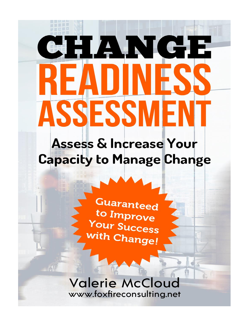# CHANGE H ASSESSM

**Assess & Increase Your Capacity to Manage Change** 

> **Guaranteed** to Improve **Your Success** with Change!

# **Valerie McCloud** www.foxfireconsulting.net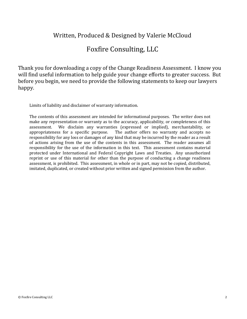#### Written, Produced & Designed by Valerie McCloud

#### Foxfire Consulting, LLC

Thank you for downloading a copy of the Change Readiness Assessment. I know you will find useful information to help guide your change efforts to greater success. But before you begin, we need to provide the following statements to keep our lawyers happy.

Limits of liability and disclaimer of warranty information.

The contents of this assessment are intended for informational purposes. The writer does not make any representation or warranty as to the accuracy, applicability, or completeness of this assessment. We disclaim any warranties (expressed or implied), merchantability, or appropriateness for a specific purpose. The author offers no warranty and accepts no responsibility for any loss or damages of any kind that may be incurred by the reader as a result of actions arising from the use of the contents in this assessment. The reader assumes all responsibility for the use of the information in this text. This assessment contains material protected under International and Federal Copyright Laws and Treaties. Any unauthorized reprint or use of this material for other than the purpose of conducting a change readiness assessment, is prohibited. This assessment, in whole or in part, may not be copied, distributed, imitated, duplicated, or created without prior written and signed permission from the author.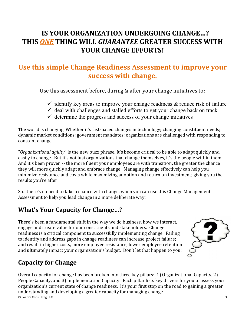# **IS YOUR ORGANIZATION UNDERGOING CHANGE…? THIS** *ONE* **THING WILL** *GUARANTEE* **GREATER SUCCESS WITH YOUR CHANGE EFFORTS!**

# **Use this simple Change Readiness Assessment to improve your success with change.**

Use this assessment before, during & after your change initiatives to:

- $\checkmark$  identify key areas to improve your change readiness & reduce risk of failure
- $\checkmark$  deal with challenges and stalled efforts to get your change back on track
- $\checkmark$  determine the progress and success of your change initiatives

The world is changing. Whether it's fast-paced changes in technology; changing constituent needs; dynamic market conditions; government mandates; organizations are challenged with responding to constant change.

"*Organizational agility*" is the new buzz phrase. It's become critical to be able to adapt quickly and easily to change. But it's not just organizations that change themselves, it's the people within them. And it's been proven -- the more fluent your employees are with transition; the greater the chance they will more quickly adapt and embrace change. Managing change effectively can help you minimize resistance and costs while maximizing adoption and return on investment; giving you the results you're after!

So…there's no need to take a chance with change, when you can use this Change Management Assessment to help you lead change in a more deliberate way!

## **What's Your Capacity for Change…?**

There's been a fundamental shift in the way we do business, how we interact, engage and create value for our constituents and stakeholders. Change readiness is a critical component to successfully implementing change. Failing to identify and address gaps in change readiness can increase project failure; and result in higher costs, more employee resistance, lower employee retention and ultimately impact your organization's budget. Don't let that happen to you!



## **Capacity for Change**

© Foxfire Consulting LLC 3 Overall capacity for change has been broken into three key pillars: 1) Organizational Capacity, 2) People Capacity, and 3) Implementation Capacity. Each pillar lists key drivers for you to assess your organization's current state of change readiness. It's your first stop on the road to gaining a greater understanding and developing a greater capacity for managing change.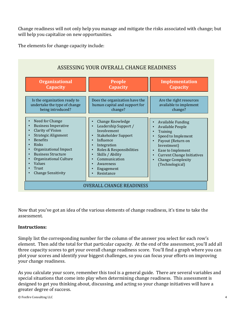Change readiness will not only help you manage and mitigate the risks associated with change; but will help you capitalize on new opportunities.

The elements for change capacity include:

| <b>Organizational</b>                                                                                                                                                                                                                                                                                                                                                                                              | <b>People</b>                                                                                                                                                                                                        | Implementation                                                                                                                                                                                                              |
|--------------------------------------------------------------------------------------------------------------------------------------------------------------------------------------------------------------------------------------------------------------------------------------------------------------------------------------------------------------------------------------------------------------------|----------------------------------------------------------------------------------------------------------------------------------------------------------------------------------------------------------------------|-----------------------------------------------------------------------------------------------------------------------------------------------------------------------------------------------------------------------------|
| Capacity                                                                                                                                                                                                                                                                                                                                                                                                           | <b>Capacity</b>                                                                                                                                                                                                      | <b>Capacity</b>                                                                                                                                                                                                             |
| Is the organization ready to                                                                                                                                                                                                                                                                                                                                                                                       | Does the organization have the                                                                                                                                                                                       | Are the right resources                                                                                                                                                                                                     |
| undertake the type of change                                                                                                                                                                                                                                                                                                                                                                                       | human capital and support for                                                                                                                                                                                        | available to implement                                                                                                                                                                                                      |
| being introduced?                                                                                                                                                                                                                                                                                                                                                                                                  | change?                                                                                                                                                                                                              | change?                                                                                                                                                                                                                     |
| Need for Change<br><b>Business Imperative</b><br>$\bullet$<br><b>Clarity of Vision</b><br>$\bullet$<br><b>Strategic Alignment</b><br>$\bullet$<br><b>Benefits</b><br>$\bullet$<br>Risks<br>$\bullet$<br>Organizational Impact<br>$\bullet$<br><b>Business Structure</b><br>$\bullet$<br>Organizational Culture<br>$\bullet$<br>Values<br>$\bullet$<br>Trust<br>$\bullet$<br><b>Change Sensitivity</b><br>$\bullet$ | Change Knowledge<br>Leadership Support /<br>Involvement<br>Stakeholder Support<br>Influence<br>Integration<br>Roles & Responsibilities<br>Skills / Ability<br>Communication<br>Awareness<br>Engagement<br>Resistance | <b>Available Funding</b><br>Available People<br>Training<br>Speed to Implement<br>Payout (Return on<br>Investment)<br>Ease to Implement<br><b>Current Change Initiatives</b><br><b>Change Complexity</b><br>(Technological) |

Now that you've got an idea of the various elements of change readiness, it's time to take the assessment.

#### **Instructions:**

Simply list the corresponding number for the column of the answer you select for each row's element. Then add the total for that particular capacity. At the end of the assessment, you'll add all three capacity scores to get your overall change readiness score. You'll find a graph where you can plot your scores and identify your biggest challenges, so you can focus your efforts on improving your change readiness.

As you calculate your score, remember this tool is a general guide. There are several variables and special situations that come into play when determining change readiness. This assessment is designed to get you thinking about, discussing, and acting so your change initiatives will have a greater degree of success.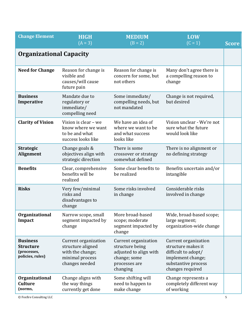| <b>Change Element</b>                                                  | <b>HIGH</b><br>$(A = 3)$                                                                           | <b>MEDIUM</b><br>$(B = 2)$                                                                                     | <b>LOW</b><br>$(C = 1)$                                                                                                           | <b>Score</b> |
|------------------------------------------------------------------------|----------------------------------------------------------------------------------------------------|----------------------------------------------------------------------------------------------------------------|-----------------------------------------------------------------------------------------------------------------------------------|--------------|
| <b>Organizational Capacity</b>                                         |                                                                                                    |                                                                                                                |                                                                                                                                   |              |
| <b>Need for Change</b>                                                 | Reason for change is<br>visible and<br>causes/will cause<br>future pain                            | Reason for change is<br>concern for some, but<br>not others                                                    | Many don't agree there is<br>a compelling reason to<br>change                                                                     |              |
| <b>Business</b><br>Imperative                                          | Mandate due to<br>regulatory or<br>immediate/<br>compelling need                                   | Some immediate/<br>compelling needs, but<br>not mandated                                                       | Change is not required,<br>but desired                                                                                            |              |
| <b>Clarity of Vision</b>                                               | Vision is clear - we<br>know where we want<br>to be and what<br>success looks like                 | We have an idea of<br>where we want to be<br>and what success<br>looks like                                    | Vision unclear - We're not<br>sure what the future<br>would look like                                                             |              |
| <b>Strategic</b><br><b>Alignment</b>                                   | Change goals &<br>objectives align with<br>strategic direction                                     | There is some<br>crossover or strategy<br>somewhat defined                                                     | There is no alignment or<br>no defining strategy                                                                                  |              |
| <b>Benefits</b>                                                        | Clear, comprehensive<br>benefits will be<br>realized                                               | Some clear benefits to<br>be realized                                                                          | Benefits uncertain and/or<br>intangible                                                                                           |              |
| <b>Risks</b>                                                           | Very few/minimal<br>risks and<br>disadvantages to<br>change                                        | Some risks involved<br>in change                                                                               | Considerable risks<br>involved in change                                                                                          |              |
| Organizational<br>Impact                                               | Narrow scope, small<br>segment impacted by<br>change                                               | More broad-based<br>scope; moderate<br>segment impacted by<br>change                                           | Wide, broad-based scope;<br>large segment;<br>organization-wide change                                                            |              |
| <b>Business</b><br><b>Structure</b><br>(processes,<br>policies, rules) | Current organization<br>structure aligned<br>with the change;<br>minimal process<br>changes needed | Current organization<br>structure being<br>adjusted to align with<br>change; some<br>processes are<br>changing | Current organization<br>structure makes it<br>difficult to adopt/<br>implement change;<br>substantive process<br>changes required |              |
| <b>Organizational</b><br><b>Culture</b><br>(norms,                     | Change aligns with<br>the way things<br>currently get done                                         | Some shifting will<br>need to happen to<br>make change                                                         | Change represents a<br>completely different way<br>of working                                                                     |              |

© Foxfire Consulting LLC 5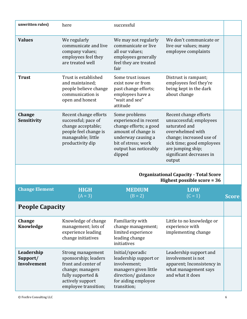| unwritten rules)                      | here                                                                                                                                                  | successful                                                                                                                                                              |                                                                                                                                                                                                           |              |
|---------------------------------------|-------------------------------------------------------------------------------------------------------------------------------------------------------|-------------------------------------------------------------------------------------------------------------------------------------------------------------------------|-----------------------------------------------------------------------------------------------------------------------------------------------------------------------------------------------------------|--------------|
| <b>Values</b>                         | We regularly<br>communicate and live<br>company values;<br>employees feel they<br>are treated well                                                    | We may not regularly<br>communicate or live<br>all our values;<br>employees generally<br>feel they are treated<br>fair                                                  | We don't communicate or<br>live our values; many<br>employee complaints                                                                                                                                   |              |
| <b>Trust</b>                          | Trust is established<br>and maintained;<br>people believe change<br>communication is<br>open and honest                                               | Some trust issues<br>exist now or from<br>past change efforts;<br>employees have a<br>"wait and see"<br>attitude                                                        | Distrust is rampant;<br>employees feel they're<br>being kept in the dark<br>about change                                                                                                                  |              |
| <b>Change</b><br><b>Sensitivity</b>   | Recent change efforts<br>successful; pace of<br>change acceptable;<br>people feel change is<br>manageable; little<br>productivity dip                 | Some problems<br>experienced in recent<br>change efforts; a good<br>amount of change is<br>underway causing a<br>bit of stress; work<br>output has noticeably<br>dipped | Recent change efforts<br>unsuccessful; employees<br>saturated and<br>overwhelmed with<br>change; increased use of<br>sick time; good employees<br>are jumping ship;<br>significant decreases in<br>output |              |
|                                       | <b>Organizational Capacity - Total Score</b><br>Highest possible score = 36                                                                           |                                                                                                                                                                         |                                                                                                                                                                                                           |              |
| <b>Change Element</b>                 | <b>HIGH</b><br>$(A = 3)$                                                                                                                              | <b>MEDIUM</b><br>$(B = 2)$                                                                                                                                              | <b>LOW</b><br>$(C = 1)$                                                                                                                                                                                   | <b>Score</b> |
| <b>People Capacity</b>                |                                                                                                                                                       |                                                                                                                                                                         |                                                                                                                                                                                                           |              |
| <b>Change</b><br>Knowledge            | Knowledge of change<br>management; lots of<br>experience leading<br>change initiatives                                                                | Familiarity with<br>change management;<br>limited experience<br>leading change<br>initiatives                                                                           | Little to no knowledge or<br>experience with<br>implementing change                                                                                                                                       |              |
| Leadership<br>Support/<br>Involvement | Strong management<br>sponsorship; leaders<br>front and center of<br>change; managers<br>fully supported &<br>actively support<br>employee transition; | Initial/sporadic<br>leadership support or<br>involvement;<br>managers given little<br>direction/guidance<br>for aiding employee<br>transition;                          | Leadership support and<br>involvement is not<br>apparent; Inconsistency in<br>what management says<br>and what it does                                                                                    |              |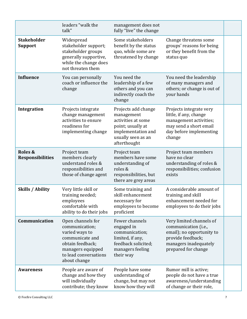|                                      | leaders "walk the<br>talk"                                                                                                                                 | management does not<br>fully "live" the change                                                                                           |                                                                                                                                                    |  |
|--------------------------------------|------------------------------------------------------------------------------------------------------------------------------------------------------------|------------------------------------------------------------------------------------------------------------------------------------------|----------------------------------------------------------------------------------------------------------------------------------------------------|--|
| <b>Stakeholder</b><br><b>Support</b> | Widespread<br>stakeholder support;<br>stakeholder groups<br>generally supportive,<br>while the change does<br>not threaten them                            | Some stakeholders<br>benefit by the status<br>quo, while some are<br>threatened by change                                                | Change threatens some<br>groups' reasons for being<br>or they benefit from the<br>status quo                                                       |  |
| <b>Influence</b>                     | You can personally<br>coach or influence the<br>change                                                                                                     | You need the<br>leadership of a few<br>others and you can<br>indirectly coach the<br>change                                              | You need the leadership<br>of many managers and<br>others; or change is out of<br>your hands                                                       |  |
| Integration                          | Projects integrate<br>change management<br>activities to ensure<br>readiness for<br>implementing change                                                    | Projects add change<br>management<br>activities at some<br>point; usually at<br>implementation and<br>usually seen as an<br>afterthought | Projects integrate very<br>little, if any, change<br>management activities;<br>may send a short email<br>day before implementing<br>change         |  |
| Roles &<br><b>Responsibilities</b>   | Project team<br>members clearly<br>understand roles &<br>responsibilities and<br>those of change agent                                                     | Project team<br>members have some<br>understanding of<br>roles &<br>responsibilities, but<br>there are grey areas                        | Project team members<br>have no clear<br>understanding of roles &<br>responsibilities; confusion<br>exists                                         |  |
| <b>Skills / Ability</b>              | Very little skill or<br>training needed;<br>employees<br>comfortable with<br>ability to do their jobs                                                      | Some training and<br>skill enhancement<br>necessary for<br>employees to become<br>proficient                                             | A considerable amount of<br>training and skill<br>enhancement needed for<br>employees to do their jobs                                             |  |
| Communication                        | Open channels for<br>communication;<br>varied ways to<br>communicate and<br>obtain feedback;<br>managers equipped<br>to lead conversations<br>about change | Fewer channels<br>engaged in<br>communication;<br>limited, if any,<br>feedback solicited;<br>managers feeling<br>their way               | Very limited channels of<br>communication (i.e.,<br>email); no opportunity to<br>provide feedback;<br>managers inadequately<br>prepared for change |  |
| <b>Awareness</b>                     | People are aware of<br>change and how they<br>will individually<br>contribute; they know                                                                   | People have some<br>understanding of<br>change, but may not<br>know how they will                                                        | Rumor mill is active;<br>people do not have a true<br>awareness/understanding<br>of change or their role,                                          |  |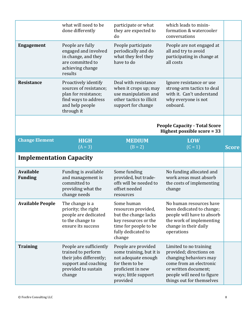|                                    | what will need to be<br>done differently                                                                                        | participate or what<br>they are expected to<br>do                                                                                          | which leads to misin-<br>formation & watercooler<br>conversations                                                                                     |              |
|------------------------------------|---------------------------------------------------------------------------------------------------------------------------------|--------------------------------------------------------------------------------------------------------------------------------------------|-------------------------------------------------------------------------------------------------------------------------------------------------------|--------------|
| <b>Engagement</b>                  | People are fully<br>engaged and involved<br>in change, and they<br>are committed to<br>achieving change<br>results              | People participate<br>periodically and do<br>what they feel they<br>have to do                                                             | People are not engaged at<br>all and try to avoid<br>participating in change at<br>all costs                                                          |              |
| <b>Resistance</b>                  | Proactively identify<br>sources of resistance;<br>plan for resistance;<br>find ways to address<br>and help people<br>through it | Deal with resistance<br>when it crops up; may<br>use manipulation and<br>other tactics to illicit<br>support for change                    | Ignore resistance or use<br>strong-arm tactics to deal<br>with it. Can't understand<br>why everyone is not<br>onboard.                                |              |
|                                    |                                                                                                                                 |                                                                                                                                            | <b>People Capacity - Total Score</b><br>Highest possible score = 33                                                                                   |              |
| <b>Change Element</b>              | <b>HIGH</b><br>$(A = 3)$                                                                                                        | <b>MEDIUM</b><br>$(B = 2)$                                                                                                                 | <b>LOW</b><br>$(C = 1)$                                                                                                                               | <b>Score</b> |
| <b>Implementation Capacity</b>     |                                                                                                                                 |                                                                                                                                            |                                                                                                                                                       |              |
| <b>Available</b><br><b>Funding</b> | Funding is available<br>and management is<br>committed to<br>providing what the<br>change needs                                 | Some funding<br>provided, but trade-<br>offs will be needed to<br>offset needed<br>resources                                               | No funding allocated and<br>work areas must absorb<br>the costs of implementing<br>change                                                             |              |
| <b>Available People</b>            | The change is a<br>priority; the right<br>people are dedicated<br>to the change to<br>ensure its success                        | Some human<br>resources provided,<br>but the change lacks<br>key resources or the<br>time for people to be<br>fully dedicated to<br>change | No human resources have<br>been dedicated to change;<br>people will have to absorb<br>the work of implementing<br>change in their daily<br>operations |              |
| <b>Training</b>                    | People are sufficiently                                                                                                         | People are provided                                                                                                                        | Limited to no training<br>provided; directions on                                                                                                     |              |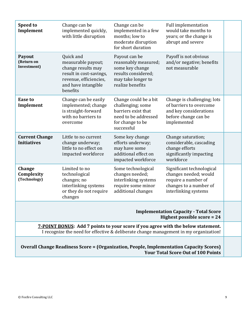| Speed to<br>Implement                                                                                                                                                            | Change can be<br>implemented quickly,<br>with little disruption                                                                               | Change can be<br>implemented in a few<br>months; low to<br>moderate disruption<br>for short duration                        | <b>Full implementation</b><br>would take months to<br>years; or the change is<br>abrupt and severe                          |  |
|----------------------------------------------------------------------------------------------------------------------------------------------------------------------------------|-----------------------------------------------------------------------------------------------------------------------------------------------|-----------------------------------------------------------------------------------------------------------------------------|-----------------------------------------------------------------------------------------------------------------------------|--|
| Payout<br>(Return on<br>Investment)                                                                                                                                              | Quick and<br>measurable payout;<br>change results may<br>result in cost-savings,<br>revenue, efficiencies,<br>and have intangible<br>benefits | Payout can be<br>reasonably measured;<br>some key change<br>results considered;<br>may take longer to<br>realize benefits   | Payoff is not obvious<br>and/or negative; benefits<br>not measurable                                                        |  |
| <b>Ease to</b><br>Implement                                                                                                                                                      | Change can be easily<br>implemented; change<br>is straight-forward<br>with no barriers to<br>overcome                                         | Change could be a bit<br>challenging; some<br>barriers exist that<br>need to be addressed<br>for change to be<br>successful | Change is challenging; lots<br>of barriers to overcome<br>and key considerations<br>before change can be<br>implemented     |  |
| <b>Current Change</b><br><b>Initiatives</b>                                                                                                                                      | Little to no current<br>change underway;<br>little to no effect on<br>impacted workforce                                                      | Some key change<br>efforts underway;<br>may have some<br>additional effect on<br>impacted workforce                         | Change saturation;<br>considerable, cascading<br>change efforts<br>significantly impacting<br>workforce                     |  |
| <b>Change</b><br>Complexity<br>(Technology)                                                                                                                                      | Limited to no<br>technological<br>changes; no<br>interlinking systems<br>or they do not require<br>changes                                    | Some technological<br>changes needed;<br>interlinking systems<br>require some minor<br>additional changes                   | Significant technological<br>changes needed; would<br>require a number of<br>changes to a number of<br>interlinking systems |  |
| <b>Implementation Capacity - Total Score</b><br>Highest possible score = 24                                                                                                      |                                                                                                                                               |                                                                                                                             |                                                                                                                             |  |
| <b>7-POINT BONUS:</b> Add 7 points to your score if you agree with the below statement.<br>I recognize the need for effective & deliberate change management in my organization! |                                                                                                                                               |                                                                                                                             |                                                                                                                             |  |
| <b>Overall Change Readiness Score = (Organization, People, Implementation Capacity Scores)</b><br><b>Your Total Score Out of 100 Points</b>                                      |                                                                                                                                               |                                                                                                                             |                                                                                                                             |  |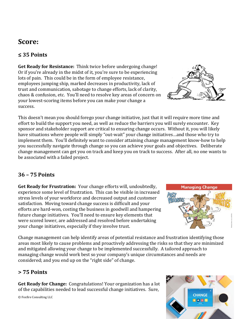# **Score:**

#### **≤ 35 Points**

**Get Ready for Resistance:** Think twice before undergoing change! Or if you're already in the midst of it, you're sure to be experiencing lots of pain. This could be in the form of employee resistance, employees jumping ship, marked decreases in productivity, lack of trust and communication, sabotage to change efforts, lack of clarity, chaos & confusion, etc. You'll need to resolve key areas of concern on your lowest-scoring items before you can make your change a success.



This doesn't mean you should forego your change initiative, just that it will require more time and effort to build the support you need, as well as reduce the barriers you will surely encounter. Key sponsor and stakeholder support are critical to ensuring change occurs. Without it, you will likely have situations where people will simply "out-wait" your change initiatives…and those who try to implement them. You'll definitely want to consider attaining change management know-how to help you successfully navigate through change so you can achieve your goals and objectives. Deliberate change management can get you on track and keep you on track to success. After all, no one wants to be associated with a failed project.

#### **36 – 75 Points**

**Get Ready for Frustration:** Your change efforts will, undoubtedly, experience some level of frustration. This can be visible in increased stress levels of your workforce and decreased output and customer satisfaction. Moving toward change success is difficult and your efforts are hard-won, costing the business in goodwill and hampering future change initiatives. You'll need to ensure key elements that were scored lower, are addressed and resolved before undertaking your change initiatives, especially if they involve trust.



Change management can help identify areas of potential resistance and frustration identifying those areas most likely to cause problems and proactively addressing the risks so that they are minimized and mitigated allowing your change to be implemented successfully. A tailored approach to managing change would work best so your company's unique circumstances and needs are considered; and you end up on the "right side" of change.

#### **> 75 Points**

**Get Ready for Change:** Congratulations! Your organization has a lot of the capabilities needed to lead successful change initiatives. Sure,

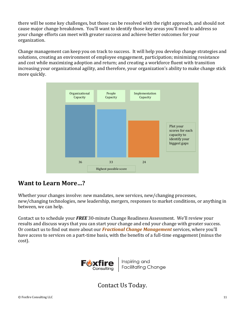there will be some key challenges, but those can be resolved with the right approach, and should not cause major change breakdown. You'll want to identify those key areas you'll need to address so your change efforts can meet with greater success and achieve better outcomes for your organization.

Change management can keep you on track to success. It will help you develop change strategies and solutions, creating an environment of employee engagement, participation; minimizing resistance and cost while maximizing adoption and return; and creating a workforce fluent with transition increasing your organizational agility, and therefore, your organization's ability to make change stick more quickly.



#### **Want to Learn More…?**

Whether your changes involve: new mandates, new services, new/changing processes, new/changing technologies, new leadership, mergers, responses to market conditions, or anything in between, we can help.

Contact us to schedule your *FREE* 30-minute Change Readiness Assessment. We'll review your results and discuss ways that you can start your change and end your change with greater success. Or contact us to find out more about our *Fractional Change Management* services, where you'll have access to services on a part-time basis, with the benefits of a full-time engagement (minus the cost).



Contact Us Today.